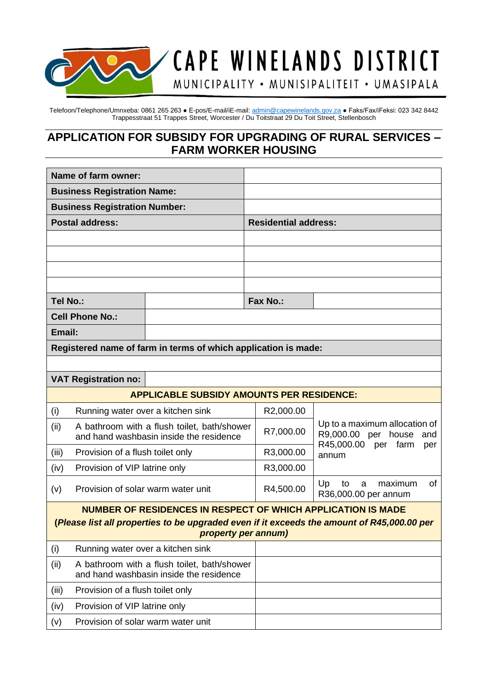

Telefoon/Telephone/Umnxeba: 0861 265 263 ● E-pos/E-mail/iE-mail[: admin@capewinelands.gov.za](mailto:admin@capewinelands.gov.za) ● Faks/Fax/iFeksi: 023 342 8442

MUNICIPALITY • MUNISIPALITEIT • UMASIPALA

# **APPLICATION FOR SUBSIDY FOR UPGRADING OF RURAL SERVICES – FARM WORKER HOUSING**

Trappesstraat 51 Trappes Street, Worcester / Du Toitstraat 29 Du Toit Street, Stellenbosch

| Name of farm owner:                                                                                               |                                                                                        |                                                                                        |  |                             |                                                                                           |  |  |
|-------------------------------------------------------------------------------------------------------------------|----------------------------------------------------------------------------------------|----------------------------------------------------------------------------------------|--|-----------------------------|-------------------------------------------------------------------------------------------|--|--|
| <b>Business Registration Name:</b>                                                                                |                                                                                        |                                                                                        |  |                             |                                                                                           |  |  |
| <b>Business Registration Number:</b>                                                                              |                                                                                        |                                                                                        |  |                             |                                                                                           |  |  |
|                                                                                                                   | <b>Postal address:</b>                                                                 |                                                                                        |  | <b>Residential address:</b> |                                                                                           |  |  |
|                                                                                                                   |                                                                                        |                                                                                        |  |                             |                                                                                           |  |  |
|                                                                                                                   |                                                                                        |                                                                                        |  |                             |                                                                                           |  |  |
|                                                                                                                   |                                                                                        |                                                                                        |  |                             |                                                                                           |  |  |
|                                                                                                                   |                                                                                        |                                                                                        |  |                             |                                                                                           |  |  |
| Tel No.:                                                                                                          |                                                                                        |                                                                                        |  | Fax No.:                    |                                                                                           |  |  |
| <b>Cell Phone No.:</b>                                                                                            |                                                                                        |                                                                                        |  |                             |                                                                                           |  |  |
| Email:                                                                                                            |                                                                                        |                                                                                        |  |                             |                                                                                           |  |  |
|                                                                                                                   |                                                                                        | Registered name of farm in terms of which application is made:                         |  |                             |                                                                                           |  |  |
|                                                                                                                   |                                                                                        |                                                                                        |  |                             |                                                                                           |  |  |
|                                                                                                                   | <b>VAT Registration no:</b>                                                            |                                                                                        |  |                             |                                                                                           |  |  |
|                                                                                                                   |                                                                                        | <b>APPLICABLE SUBSIDY AMOUNTS PER RESIDENCE:</b>                                       |  |                             |                                                                                           |  |  |
| (i)                                                                                                               | Running water over a kitchen sink                                                      |                                                                                        |  | R2,000.00                   |                                                                                           |  |  |
| (ii)                                                                                                              |                                                                                        | A bathroom with a flush toilet, bath/shower<br>and hand washbasin inside the residence |  | R7,000.00                   | Up to a maximum allocation of<br>R9,000.00 per house<br>and<br>R45,000.00 per farm<br>per |  |  |
| (iii)                                                                                                             |                                                                                        | Provision of a flush toilet only                                                       |  | R3,000.00                   | annum                                                                                     |  |  |
| (iv)                                                                                                              | Provision of VIP latrine only                                                          |                                                                                        |  | R3,000.00                   |                                                                                           |  |  |
| (v)                                                                                                               | Provision of solar warm water unit                                                     |                                                                                        |  | R4,500.00                   | Up<br>of<br>to<br>maximum<br>a<br>R36,000.00 per annum                                    |  |  |
|                                                                                                                   |                                                                                        | <b>NUMBER OF RESIDENCES IN RESPECT OF WHICH APPLICATION IS MADE</b>                    |  |                             |                                                                                           |  |  |
| (Please list all properties to be upgraded even if it exceeds the amount of R45,000.00 per<br>property per annum) |                                                                                        |                                                                                        |  |                             |                                                                                           |  |  |
| (i)                                                                                                               | Running water over a kitchen sink                                                      |                                                                                        |  |                             |                                                                                           |  |  |
| (ii)                                                                                                              | A bathroom with a flush toilet, bath/shower<br>and hand washbasin inside the residence |                                                                                        |  |                             |                                                                                           |  |  |
| (iii)                                                                                                             | Provision of a flush toilet only                                                       |                                                                                        |  |                             |                                                                                           |  |  |
| (iv)                                                                                                              | Provision of VIP latrine only                                                          |                                                                                        |  |                             |                                                                                           |  |  |
| (v)                                                                                                               | Provision of solar warm water unit                                                     |                                                                                        |  |                             |                                                                                           |  |  |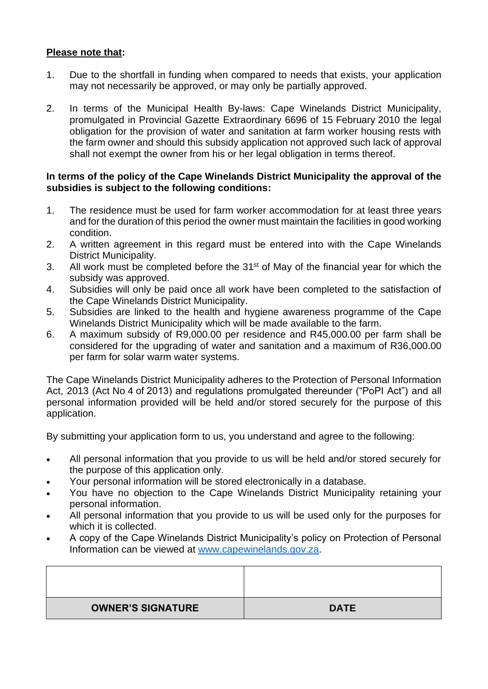### **Please note that:**

- 1. Due to the shortfall in funding when compared to needs that exists, your application may not necessarily be approved, or may only be partially approved.
- 2. In terms of the Municipal Health By-laws: Cape Winelands District Municipality, promulgated in Provincial Gazette Extraordinary 6696 of 15 February 2010 the legal obligation for the provision of water and sanitation at farm worker housing rests with the farm owner and should this subsidy application not approved such lack of approval shall not exempt the owner from his or her legal obligation in terms thereof.

#### **In terms of the policy of the Cape Winelands District Municipality the approval of the subsidies is subject to the following conditions:**

- 1. The residence must be used for farm worker accommodation for at least three years and for the duration of this period the owner must maintain the facilities in good working condition.
- 2. A written agreement in this regard must be entered into with the Cape Winelands District Municipality.
- 3. All work must be completed before the 31<sup>st</sup> of May of the financial year for which the subsidy was approved.
- 4. Subsidies will only be paid once all work have been completed to the satisfaction of the Cape Winelands District Municipality.
- 5. Subsidies are linked to the health and hygiene awareness programme of the Cape Winelands District Municipality which will be made available to the farm.
- 6. A maximum subsidy of R9,000.00 per residence and R45,000.00 per farm shall be considered for the upgrading of water and sanitation and a maximum of R36,000.00 per farm for solar warm water systems.

The Cape Winelands District Municipality adheres to the Protection of Personal Information Act, 2013 (Act No 4 of 2013) and regulations promulgated thereunder ("PoPI Act") and all personal information provided will be held and/or stored securely for the purpose of this application.

By submitting your application form to us, you understand and agree to the following:

- All personal information that you provide to us will be held and/or stored securely for the purpose of this application only.
- Your personal information will be stored electronically in a database.
- You have no objection to the Cape Winelands District Municipality retaining your personal information.
- All personal information that you provide to us will be used only for the purposes for which it is collected.
- A copy of the Cape Winelands District Municipality's policy on Protection of Personal Information can be viewed at [www.capewinelands.gov.za.](http://www.capewinelands.gov.za/)

| <b>OWNER'S SIGNATURE</b> | <b>DATE</b> |
|--------------------------|-------------|